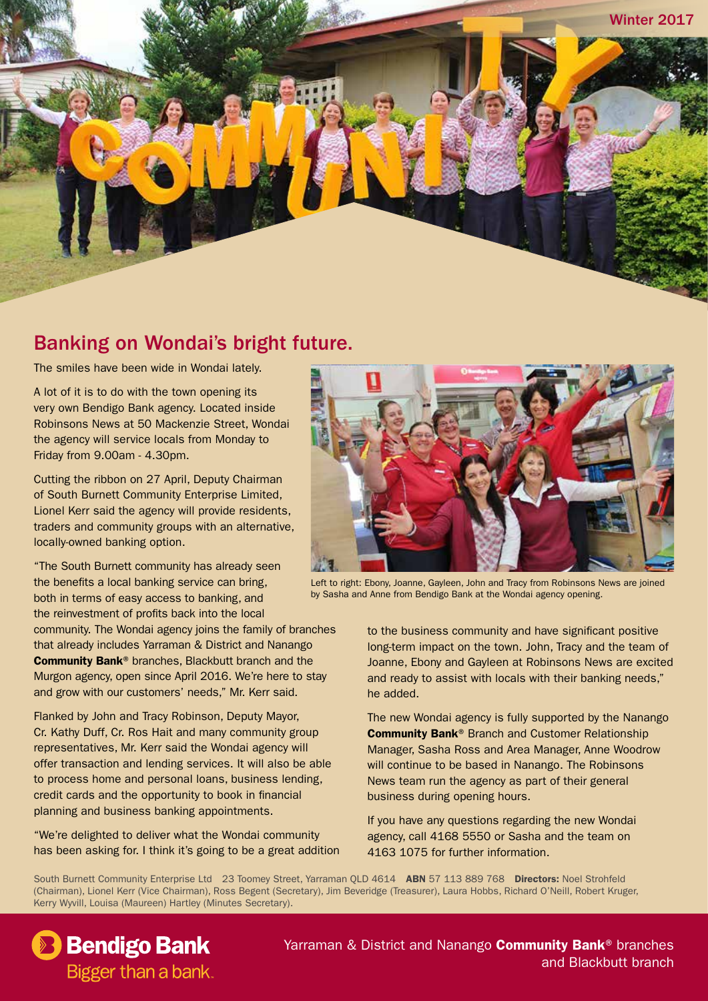

#### Banking on Wondai's bright future.

The smiles have been wide in Wondai lately.

A lot of it is to do with the town opening its very own Bendigo Bank agency. Located inside Robinsons News at 50 Mackenzie Street, Wondai the agency will service locals from Monday to Friday from 9.00am - 4.30pm.

Cutting the ribbon on 27 April, Deputy Chairman of South Burnett Community Enterprise Limited, Lionel Kerr said the agency will provide residents, traders and community groups with an alternative, locally-owned banking option.

"The South Burnett community has already seen the benefits a local banking service can bring, both in terms of easy access to banking, and the reinvestment of profits back into the local community. The Wondai agency joins the family of branches that already includes Yarraman & District and Nanango Community Bank® branches, Blackbutt branch and the Murgon agency, open since April 2016. We're here to stay and grow with our customers' needs," Mr. Kerr said.

Flanked by John and Tracy Robinson, Deputy Mayor, Cr. Kathy Duff, Cr. Ros Hait and many community group representatives, Mr. Kerr said the Wondai agency will offer transaction and lending services. It will also be able to process home and personal loans, business lending, credit cards and the opportunity to book in financial planning and business banking appointments.

"We're delighted to deliver what the Wondai community has been asking for. I think it's going to be a great addition



Left to right: Ebony, Joanne, Gayleen, John and Tracy from Robinsons News are joined by Sasha and Anne from Bendigo Bank at the Wondai agency opening.

to the business community and have significant positive long-term impact on the town. John, Tracy and the team of Joanne, Ebony and Gayleen at Robinsons News are excited and ready to assist with locals with their banking needs," he added.

The new Wondai agency is fully supported by the Nanango Community Bank® Branch and Customer Relationship Manager, Sasha Ross and Area Manager, Anne Woodrow will continue to be based in Nanango. The Robinsons News team run the agency as part of their general business during opening hours.

If you have any questions regarding the new Wondai agency, call 4168 5550 or Sasha and the team on 4163 1075 for further information.

South Burnett Community Enterprise Ltd 23 Toomey Street, Yarraman OLD 4614 ABN 57 113 889 768 Directors: Noel Strohfeld (Chairman), Lionel Kerr (Vice Chairman), Ross Begent (Secretary), Jim Beveridge (Treasurer), Laura Hobbs, Richard O'Neill, Robert Kruger, Kerry Wyvill, Louisa (Maureen) Hartley (Minutes Secretary).

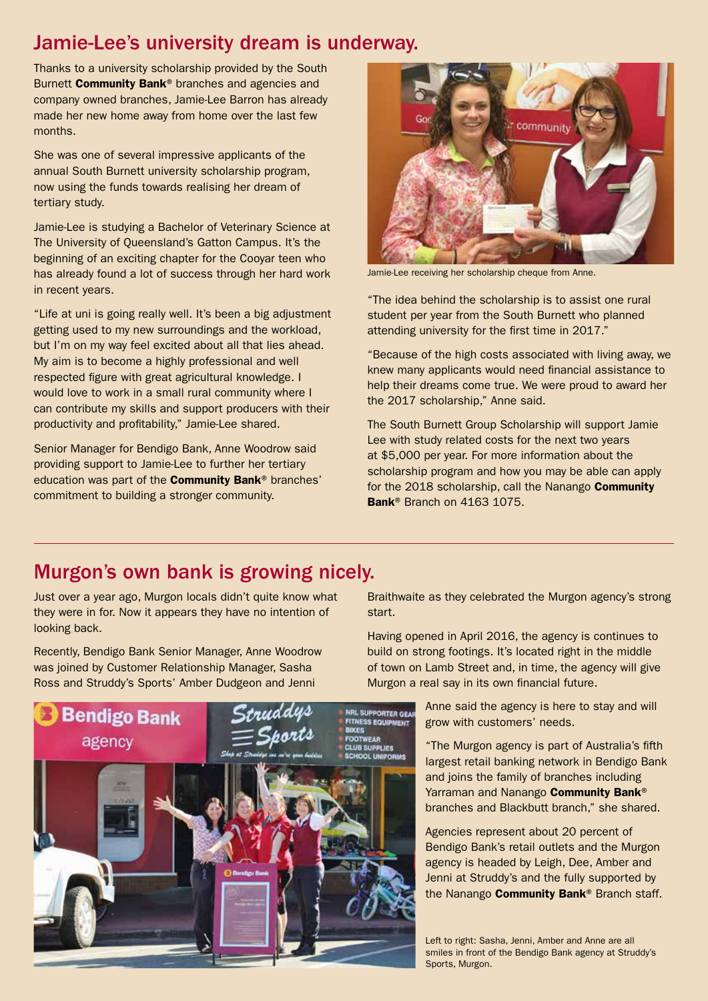#### Jamie-Lee's university dream is underway.

Thanks to a university scholarship provided by the South Burnett **Community Bank®** branches and agencies and company owned branches, Jamie-Lee Barron has already made her new home away from home over the last few months.

She was one of several impressive applicants of the annual South Burnett university scholarship program, now using the funds towards realising her dream of tertiary study.

Jamie-Lee is studying a Bachelor of Veterinary Science at The University of Queensland's Gatton Campus. It's the beginning of an exciting chapter for the Cooyar teen who has already found a lot of success through her hard work in recent years.

"Life at uni is going really well. It's been a big adjustment getting used to my new surroundings and the workload, but I'm on my way feel excited about all that lies ahead. My aim is to become a highly professional and well respected figure with great agricultural knowledge. I would love to work in a small rural community where I can contribute my skills and support producers with their productivity and profitability," Jamie-Lee shared.

Senior Manager for Bendigo Bank, Anne Woodrow said providing support to Jamie-Lee to further her tertiary education was part of the Community Bank® branches' commitment to building a stronger community.



Jamie-Lee receiving her scholarship cheque from Anne.

"The idea behind the scholarship is to assist one rural student per year from the South Burnett who planned attending university for the first time in 2017."

"Because of the high costs associated with living away, we knew many applicants would need financial assistance to help their dreams come true. We were proud to award her the 2017 scholarship," Anne said.

The South Burnett Group Scholarship will support Jamie Lee with study related costs for the next two years at \$5,000 per year. For more information about the scholarship program and how you may be able can apply for the 2018 scholarship, call the Nanango Community Bank<sup>®</sup> Branch on 4163 1075.

#### Murgon's own bank is growing nicely.

Just over a year ago, Murgon locals didn't quite know what they were in for. Now it appears they have no intention of looking back.

Recently, Bendigo Bank Senior Manager, Anne Woodrow was joined by Customer Relationship Manager, Sasha Ross and Struddy's Sports' Amber Dudgeon and Jenni



Braithwaite as they celebrated the Murgon agency's strong start.

Having opened in April 2016, the agency is continues to build on strong footings. It's located right in the middle of town on Lamb Street and, in time, the agency will give Murgon a real say in its own financial future.

> Anne said the agency is here to stay and will grow with customers' needs.

"The Murgon agency is part of Australia's fifth largest retail banking network in Bendigo Bank and joins the family of branches including Yarraman and Nanango Community Bank<sup>®</sup> branches and Blackbutt branch," she shared.

Agencies represent about 20 percent of Bendigo Bank's retail outlets and the Murgon agency is headed by Leigh, Dee, Amber and Jenni at Struddy's and the fully supported by the Nanango **Community Bank®** Branch staff.

Left to right: Sasha, Jenni, Amber and Anne are all smiles in front of the Bendigo Bank agency at Struddy's Sports, Murgon.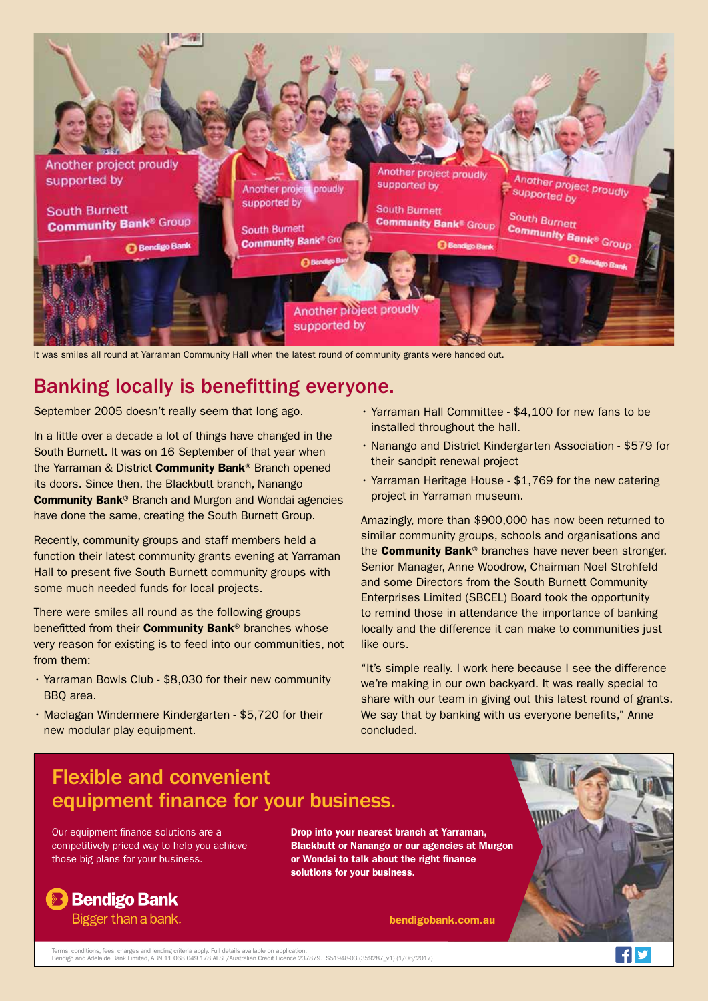

It was smiles all round at Yarraman Community Hall when the latest round of community grants were handed out.

### Banking locally is benefitting everyone.

September 2005 doesn't really seem that long ago.

In a little over a decade a lot of things have changed in the South Burnett. It was on 16 September of that year when the Yarraman & District **Community Bank**® Branch opened its doors. Since then, the Blackbutt branch, Nanango Community Bank® Branch and Murgon and Wondai agencies have done the same, creating the South Burnett Group.

Recently, community groups and staff members held a function their latest community grants evening at Yarraman Hall to present five South Burnett community groups with some much needed funds for local projects.

There were smiles all round as the following groups benefitted from their **Community Bank**<sup>®</sup> branches whose very reason for existing is to feed into our communities, not from them:

- Yarraman Bowls Club \$8,030 for their new community BBQ area.
- Maclagan Windermere Kindergarten \$5,720 for their new modular play equipment.
- Yarraman Hall Committee \$4,100 for new fans to be installed throughout the hall.
- Nanango and District Kindergarten Association \$579 for their sandpit renewal project
- Yarraman Heritage House \$1,769 for the new catering project in Yarraman museum.

Amazingly, more than \$900,000 has now been returned to similar community groups, schools and organisations and the **Community Bank®** branches have never been stronger. Senior Manager, Anne Woodrow, Chairman Noel Strohfeld and some Directors from the South Burnett Community Enterprises Limited (SBCEL) Board took the opportunity to remind those in attendance the importance of banking locally and the difference it can make to communities just like ours.

"It's simple really. I work here because I see the difference we're making in our own backyard. It was really special to share with our team in giving out this latest round of grants. We say that by banking with us everyone benefits." Anne concluded.



Terms, conditions, fees, charges and lending criteria apply. Full details available on application.<br>Bendigo and Adelaide Bank Limited, ABN 11 068 049 178 AFSL/Australian Credit Licence 237879. S51948-03 (359287\_v1) (1/06/2

 $\mathbf{f}$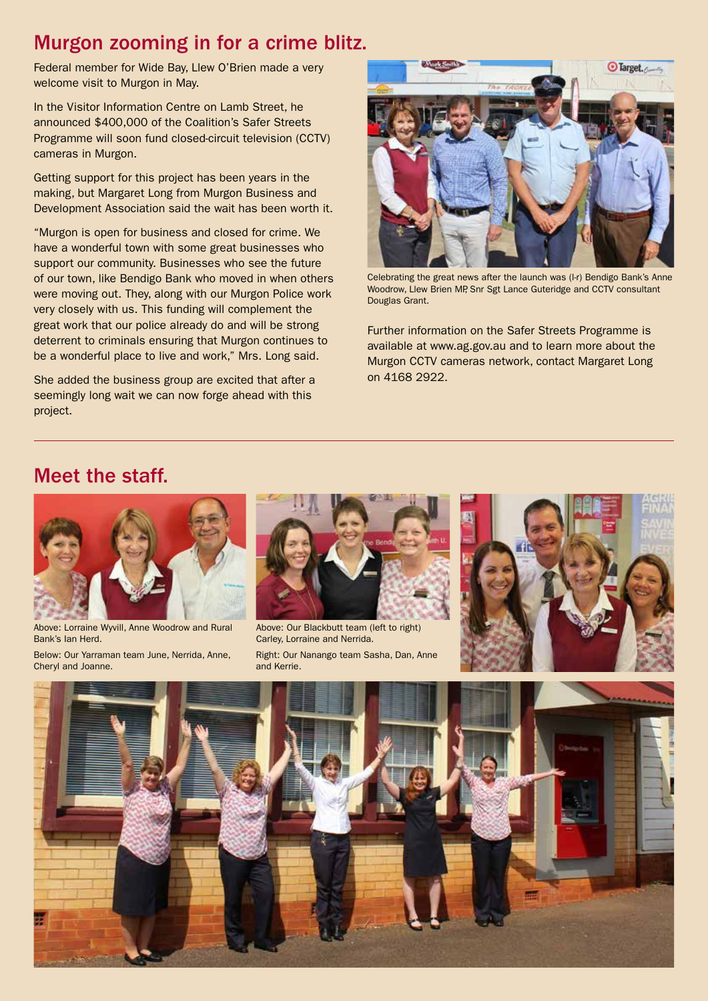#### Murgon zooming in for a crime blitz.

Federal member for Wide Bay, Llew O'Brien made a very welcome visit to Murgon in May.

In the Visitor Information Centre on Lamb Street, he announced \$400,000 of the Coalition's Safer Streets Programme will soon fund closed-circuit television (CCTV) cameras in Murgon.

Getting support for this project has been years in the making, but Margaret Long from Murgon Business and Development Association said the wait has been worth it.

"Murgon is open for business and closed for crime. We have a wonderful town with some great businesses who support our community. Businesses who see the future of our town, like Bendigo Bank who moved in when others were moving out. They, along with our Murgon Police work very closely with us. This funding will complement the great work that our police already do and will be strong deterrent to criminals ensuring that Murgon continues to be a wonderful place to live and work," Mrs. Long said.

She added the business group are excited that after a seemingly long wait we can now forge ahead with this project.



Celebrating the great news after the launch was (l-r) Bendigo Bank's Anne Woodrow, Llew Brien MP, Snr Sgt Lance Guteridge and CCTV consultant Douglas Grant.

Further information on the Safer Streets Programme is available at www.ag.gov.au and to learn more about the Murgon CCTV cameras network, contact Margaret Long on 4168 2922.

#### Meet the staff.



Above: Lorraine Wyvill, Anne Woodrow and Rural Bank's Ian Herd.

Below: Our Yarraman team June, Nerrida, Anne, Cheryl and Joanne.



Right: Our Nanango team Sasha, Dan, Anne and Kerrie. Above: Our Blackbutt team (left to right) Carley, Lorraine and Nerrida.



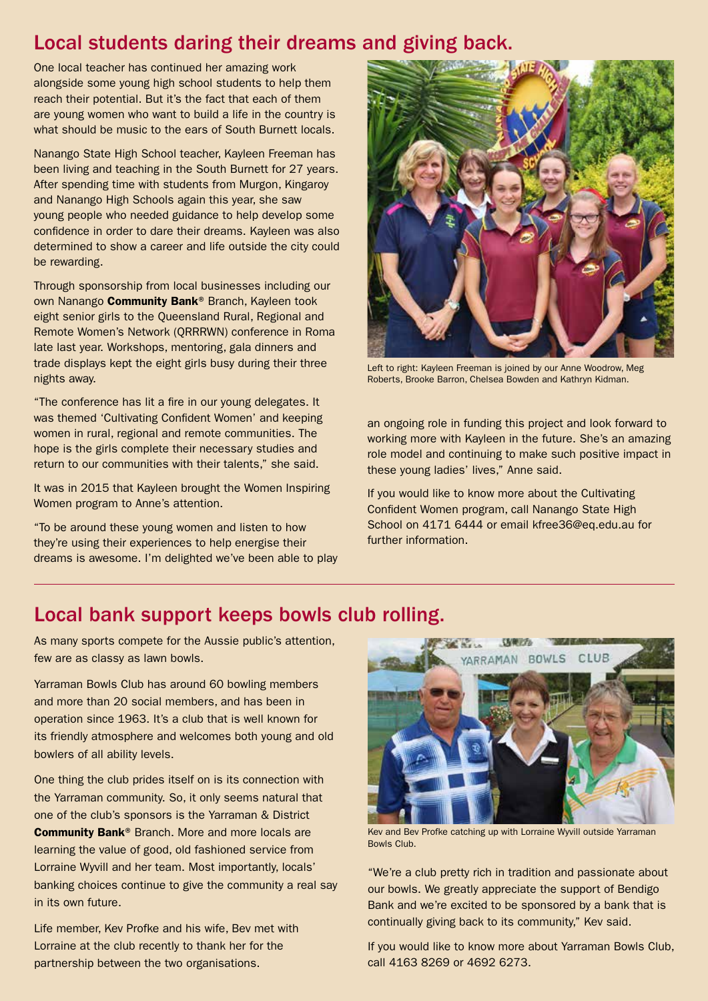### Local students daring their dreams and giving back.

One local teacher has continued her amazing work alongside some young high school students to help them reach their potential. But it's the fact that each of them are young women who want to build a life in the country is what should be music to the ears of South Burnett locals.

Nanango State High School teacher, Kayleen Freeman has been living and teaching in the South Burnett for 27 years. After spending time with students from Murgon, Kingaroy and Nanango High Schools again this year, she saw young people who needed guidance to help develop some confidence in order to dare their dreams. Kayleen was also determined to show a career and life outside the city could be rewarding.

Through sponsorship from local businesses including our own Nanango Community Bank® Branch, Kayleen took eight senior girls to the Queensland Rural, Regional and Remote Women's Network (QRRRWN) conference in Roma late last year. Workshops, mentoring, gala dinners and trade displays kept the eight girls busy during their three nights away.

"The conference has lit a fire in our young delegates. It was themed 'Cultivating Confident Women' and keeping women in rural, regional and remote communities. The hope is the girls complete their necessary studies and return to our communities with their talents," she said.

It was in 2015 that Kayleen brought the Women Inspiring Women program to Anne's attention.

"To be around these young women and listen to how they're using their experiences to help energise their dreams is awesome. I'm delighted we've been able to play



Left to right: Kayleen Freeman is joined by our Anne Woodrow, Meg Roberts, Brooke Barron, Chelsea Bowden and Kathryn Kidman.

an ongoing role in funding this project and look forward to working more with Kayleen in the future. She's an amazing role model and continuing to make such positive impact in these young ladies' lives," Anne said.

If you would like to know more about the Cultivating Confident Women program, call Nanango State High School on 4171 6444 or email kfree36@eq.edu.au for further information.

#### Local bank support keeps bowls club rolling.

As many sports compete for the Aussie public's attention, few are as classy as lawn bowls.

Yarraman Bowls Club has around 60 bowling members and more than 20 social members, and has been in operation since 1963. It's a club that is well known for its friendly atmosphere and welcomes both young and old bowlers of all ability levels.

One thing the club prides itself on is its connection with the Yarraman community. So, it only seems natural that one of the club's sponsors is the Yarraman & District Community Bank® Branch. More and more locals are learning the value of good, old fashioned service from Lorraine Wyvill and her team. Most importantly, locals' banking choices continue to give the community a real say in its own future.

Life member, Kev Profke and his wife, Bev met with Lorraine at the club recently to thank her for the partnership between the two organisations.



Kev and Bev Profke catching up with Lorraine Wyvill outside Yarraman Bowls Club.

"We're a club pretty rich in tradition and passionate about our bowls. We greatly appreciate the support of Bendigo Bank and we're excited to be sponsored by a bank that is continually giving back to its community," Kev said.

If you would like to know more about Yarraman Bowls Club, call 4163 8269 or 4692 6273.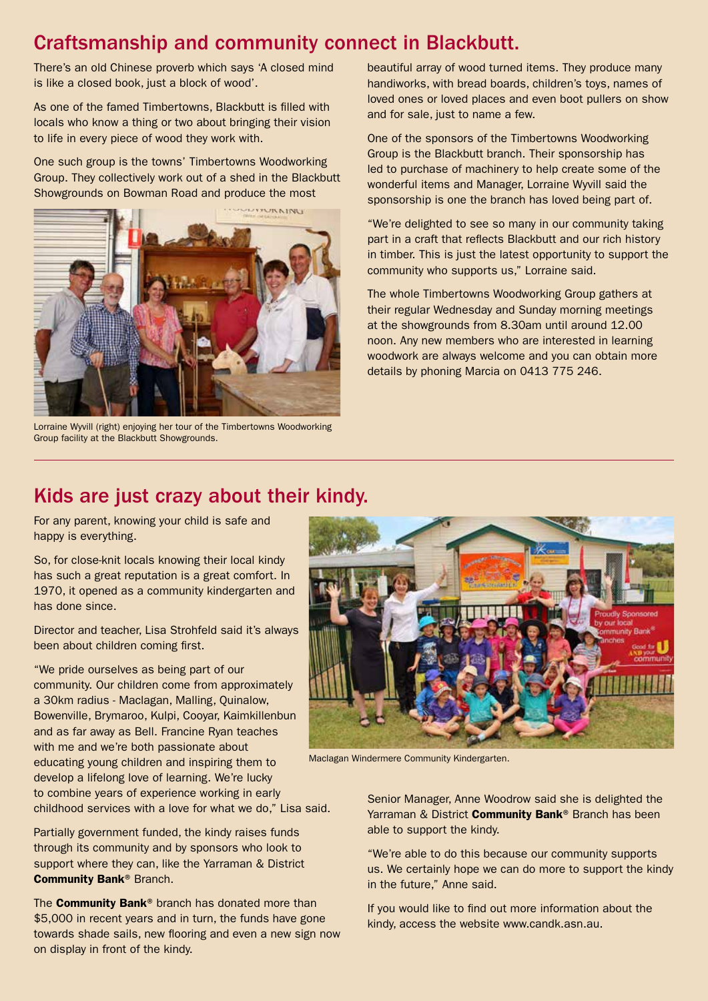### Craftsmanship and community connect in Blackbutt.

There's an old Chinese proverb which says 'A closed mind is like a closed book, just a block of wood'.

As one of the famed Timbertowns, Blackbutt is filled with locals who know a thing or two about bringing their vision to life in every piece of wood they work with.

One such group is the towns' Timbertowns Woodworking Group. They collectively work out of a shed in the Blackbutt Showgrounds on Bowman Road and produce the most



Lorraine Wyvill (right) enjoying her tour of the Timbertowns Woodworking Group facility at the Blackbutt Showgrounds.

beautiful array of wood turned items. They produce many handiworks, with bread boards, children's toys, names of loved ones or loved places and even boot pullers on show and for sale, just to name a few.

One of the sponsors of the Timbertowns Woodworking Group is the Blackbutt branch. Their sponsorship has led to purchase of machinery to help create some of the wonderful items and Manager, Lorraine Wyvill said the sponsorship is one the branch has loved being part of.

"We're delighted to see so many in our community taking part in a craft that reflects Blackbutt and our rich history in timber. This is just the latest opportunity to support the community who supports us," Lorraine said.

The whole Timbertowns Woodworking Group gathers at their regular Wednesday and Sunday morning meetings at the showgrounds from 8.30am until around 12.00 noon. Any new members who are interested in learning woodwork are always welcome and you can obtain more details by phoning Marcia on 0413 775 246.

#### Kids are just crazy about their kindy.

For any parent, knowing your child is safe and happy is everything.

So, for close-knit locals knowing their local kindy has such a great reputation is a great comfort. In 1970, it opened as a community kindergarten and has done since.

Director and teacher, Lisa Strohfeld said it's always been about children coming first.

"We pride ourselves as being part of our community. Our children come from approximately a 30km radius - Maclagan, Malling, Quinalow, Bowenville, Brymaroo, Kulpi, Cooyar, Kaimkillenbun and as far away as Bell. Francine Ryan teaches with me and we're both passionate about educating young children and inspiring them to develop a lifelong love of learning. We're lucky to combine years of experience working in early childhood services with a love for what we do," Lisa said.

Partially government funded, the kindy raises funds through its community and by sponsors who look to support where they can, like the Yarraman & District Community Bank® Branch.

The **Community Bank®** branch has donated more than \$5,000 in recent years and in turn, the funds have gone towards shade sails, new flooring and even a new sign now on display in front of the kindy.



Maclagan Windermere Community Kindergarten.

Senior Manager, Anne Woodrow said she is delighted the Yarraman & District **Community Bank®** Branch has been able to support the kindy.

"We're able to do this because our community supports us. We certainly hope we can do more to support the kindy in the future," Anne said.

If you would like to find out more information about the kindy, access the website www.candk.asn.au.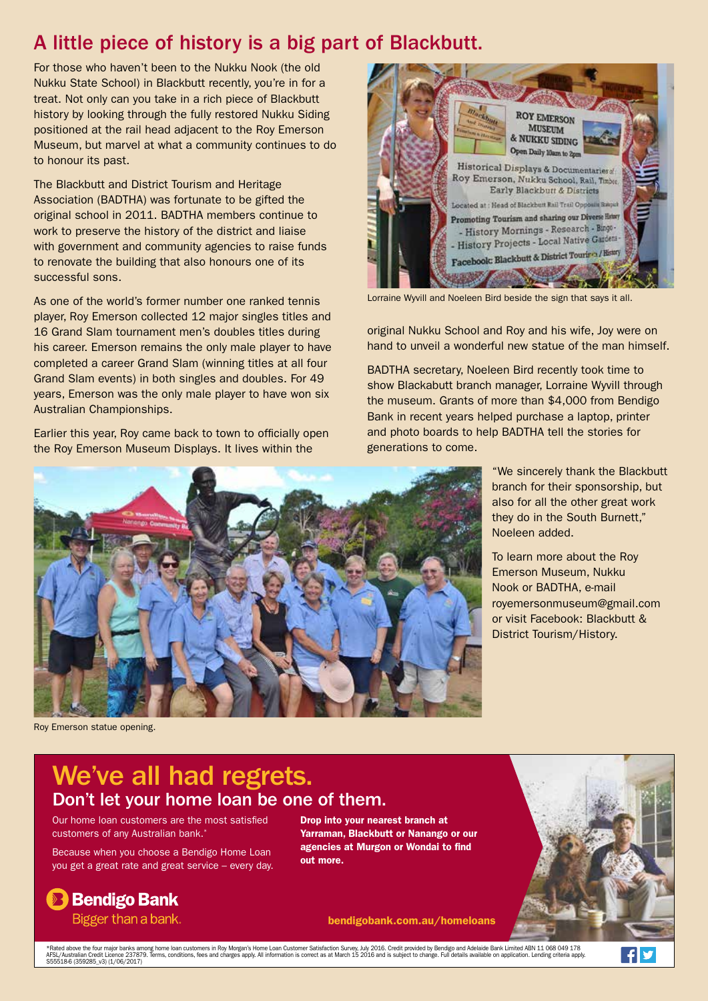## A little piece of history is a big part of Blackbutt.

For those who haven't been to the Nukku Nook (the old Nukku State School) in Blackbutt recently, you're in for a treat. Not only can you take in a rich piece of Blackbutt history by looking through the fully restored Nukku Siding positioned at the rail head adjacent to the Roy Emerson Museum, but marvel at what a community continues to do to honour its past.

The Blackbutt and District Tourism and Heritage Association (BADTHA) was fortunate to be gifted the original school in 2011. BADTHA members continue to work to preserve the history of the district and liaise with government and community agencies to raise funds to renovate the building that also honours one of its successful sons.

As one of the world's former number one ranked tennis player, Roy Emerson collected 12 major singles titles and 16 Grand Slam tournament men's doubles titles during his career. Emerson remains the only male player to have completed a career Grand Slam (winning titles at all four Grand Slam events) in both singles and doubles. For 49 years, Emerson was the only male player to have won six Australian Championships.

Earlier this year, Roy came back to town to officially open the Roy Emerson Museum Displays. It lives within the



Lorraine Wyvill and Noeleen Bird beside the sign that says it all.

original Nukku School and Roy and his wife, Joy were on hand to unveil a wonderful new statue of the man himself.

BADTHA secretary, Noeleen Bird recently took time to show Blackabutt branch manager, Lorraine Wyvill through the museum. Grants of more than \$4,000 from Bendigo Bank in recent years helped purchase a laptop, printer and photo boards to help BADTHA tell the stories for generations to come.

Noeleen added.

"We sincerely thank the Blackbutt branch for their sponsorship, but also for all the other great work they do in the South Burnett,"

To learn more about the Roy Emerson Museum, Nukku Nook or BADTHA, e-mail

royemersonmuseum@gmail.com or visit Facebook: Blackbutt & District Tourism/History.



Roy Emerson statue opening.

# We've all had regrets. Don't let your home loan be one of them.

Our home loan customers are the most satisfied customers of any Australian bank.<sup>\*</sup>

Because when you choose a Bendigo Home Loan you get a great rate and great service – every day.

**Bendigo Bank** 

Drop into your nearest branch at Yarraman, Blackbutt or Nanango or our agencies at Murgon or Wondai to find out more.

#### bendigobank.com.au/homeloans

Bigger than a bank.

\*Rated above the four major banks among home loan customers in Roy Morgan's Home Loan Customer Satisfaction Survey, July 2016. Credit provided by Bendigo and Adelaide Bank Limited ABN 11 068 049 178<br>AFSL/Australian Credit